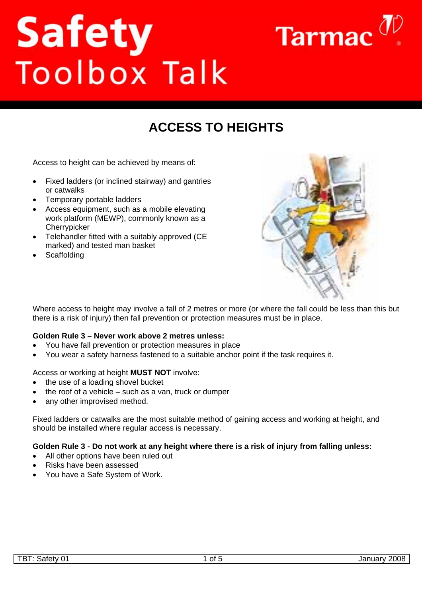# **Safety**<br>Toolbox Talk



# **ACCESS TO HEIGHTS**

Access to height can be achieved by means of:

- Fixed ladders (or inclined stairway) and gantries or catwalks
- Temporary portable ladders
- Access equipment, such as a mobile elevating work platform (MEWP), commonly known as a **Cherrypicker**
- Telehandler fitted with a suitably approved (CE marked) and tested man basket
- **Scaffolding**



Where access to height may involve a fall of 2 metres or more (or where the fall could be less than this but there is a risk of injury) then fall prevention or protection measures must be in place.

# **Golden Rule 3 – Never work above 2 metres unless:**

- You have fall prevention or protection measures in place
- You wear a safety harness fastened to a suitable anchor point if the task requires it.

#### Access or working at height **MUST NOT** involve:

- the use of a loading shovel bucket
- the roof of a vehicle  $-$  such as a van, truck or dumper
- any other improvised method.

Fixed ladders or catwalks are the most suitable method of gaining access and working at height, and should be installed where regular access is necessary.

#### **Golden Rule 3 - Do not work at any height where there is a risk of injury from falling unless:**

- All other options have been ruled out
- Risks have been assessed
- You have a Safe System of Work.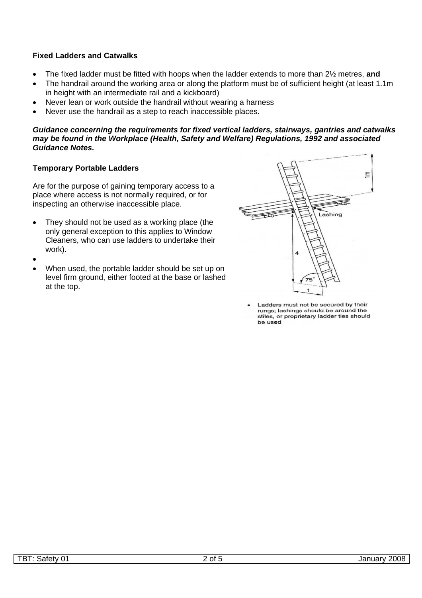# **Fixed Ladders and Catwalks**

- The fixed ladder must be fitted with hoops when the ladder extends to more than 2½ metres, **and**
- The handrail around the working area or along the platform must be of sufficient height (at least 1.1m) in height with an intermediate rail and a kickboard)
- Never lean or work outside the handrail without wearing a harness
- Never use the handrail as a step to reach inaccessible places.

#### *Guidance concerning the requirements for fixed vertical ladders, stairways, gantries and catwalks may be found in the Workplace (Health, Safety and Welfare) Regulations, 1992 and associated Guidance Notes.*

## **Temporary Portable Ladders**

Are for the purpose of gaining temporary access to a place where access is not normally required, or for inspecting an otherwise inaccessible place.

- They should not be used as a working place (the only general exception to this applies to Window Cleaners, who can use ladders to undertake their work).
- •
- When used, the portable ladder should be set up on level firm ground, either footed at the base or lashed at the top.



Ladders must not be secured by their rungs; lashings should be around the stiles, or proprietary ladder ties should be used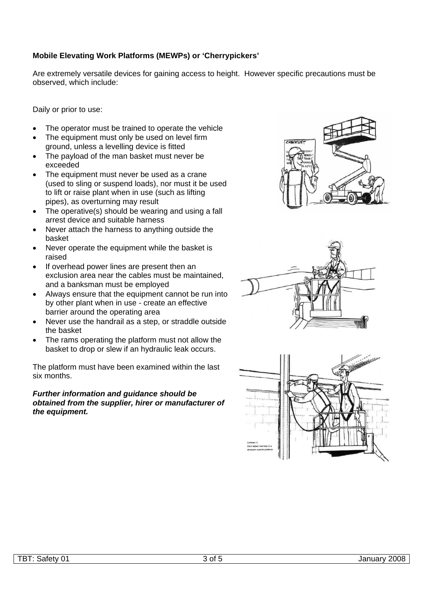# **Mobile Elevating Work Platforms (MEWPs) or 'Cherrypickers'**

Are extremely versatile devices for gaining access to height. However specific precautions must be observed, which include:

Daily or prior to use:

- The operator must be trained to operate the vehicle
- The equipment must only be used on level firm ground, unless a levelling device is fitted
- The payload of the man basket must never be exceeded
- The equipment must never be used as a crane (used to sling or suspend loads), nor must it be used to lift or raise plant when in use (such as lifting pipes), as overturning may result
- The operative(s) should be wearing and using a fall arrest device and suitable harness
- Never attach the harness to anything outside the basket
- Never operate the equipment while the basket is raised
- If overhead power lines are present then an exclusion area near the cables must be maintained, and a banksman must be employed
- Always ensure that the equipment cannot be run into by other plant when in use - create an effective barrier around the operating area
- Never use the handrail as a step, or straddle outside the basket
- The rams operating the platform must not allow the basket to drop or slew if an hydraulic leak occurs.

The platform must have been examined within the last six months.

*Further information and guidance should be obtained from the supplier, hirer or manufacturer of the equipment.*





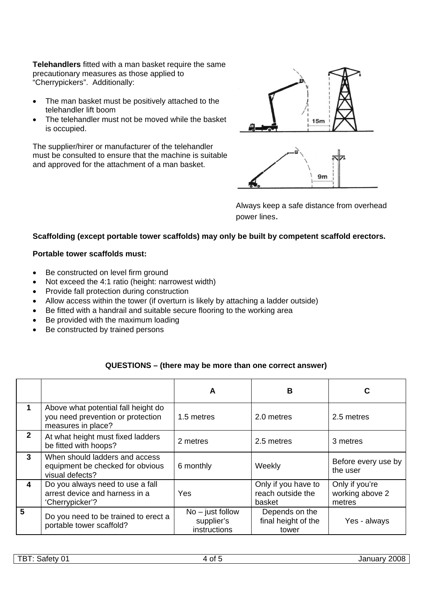**Telehandlers** fitted with a man basket require the same precautionary measures as those applied to "Cherrypickers". Additionally:

- The man basket must be positively attached to the telehandler lift boom
- The telehandler must not be moved while the basket is occupied.

The supplier/hirer or manufacturer of the telehandler must be consulted to ensure that the machine is suitable and approved for the attachment of a man basket.



Always keep a safe distance from overhead power lines.

# **Scaffolding (except portable tower scaffolds) may only be built by competent scaffold erectors.**

## **Portable tower scaffolds must:**

- Be constructed on level firm ground
- Not exceed the 4:1 ratio (height: narrowest width)
- Provide fall protection during construction
- Allow access within the tower (if overturn is likely by attaching a ladder outside)
- Be fitted with a handrail and suitable secure flooring to the working area
- Be provided with the maximum loading
- Be constructed by trained persons

# **QUESTIONS – (there may be more than one correct answer)**

|              |                                                                                                | A                                                | B                                                  | C                                           |
|--------------|------------------------------------------------------------------------------------------------|--------------------------------------------------|----------------------------------------------------|---------------------------------------------|
|              | Above what potential fall height do<br>you need prevention or protection<br>measures in place? | 1.5 metres                                       | 2.0 metres                                         | 2.5 metres                                  |
| $\mathbf{2}$ | At what height must fixed ladders<br>be fitted with hoops?                                     | 2 metres                                         | 2.5 metres                                         | 3 metres                                    |
| $\mathbf{3}$ | When should ladders and access<br>equipment be checked for obvious<br>visual defects?          | 6 monthly                                        | Weekly                                             | Before every use by<br>the user             |
| 4            | Do you always need to use a fall<br>arrest device and harness in a<br>'Cherrypicker'?          | Yes                                              | Only if you have to<br>reach outside the<br>basket | Only if you're<br>working above 2<br>metres |
| 5            | Do you need to be trained to erect a<br>portable tower scaffold?                               | $No - just follow$<br>supplier's<br>instructions | Depends on the<br>final height of the<br>tower     | Yes - always                                |